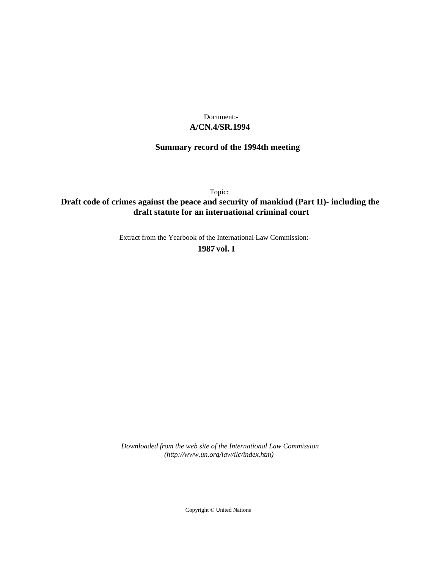## **A/CN.4/SR.1994** Document:-

# **Summary record of the 1994th meeting**

Topic:

# **Draft code of crimes against the peace and security of mankind (Part II)- including the draft statute for an international criminal court**

Extract from the Yearbook of the International Law Commission:-

**1987** , **vol. I**

*Downloaded from the web site of the International Law Commission (http://www.un.org/law/ilc/index.htm)*

Copyright © United Nations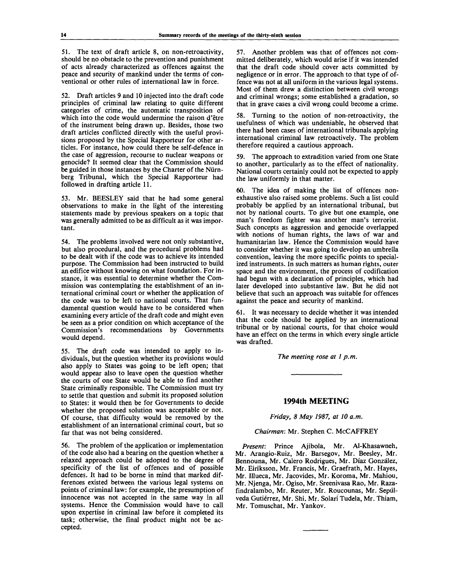51. The text of draft article 8, on non-retroactivity, should be no obstacle to the prevention and punishment of acts already characterized as offences against the peace and security of mankind under the terms of conventional or other rules of international law in force.

52. Draft articles 9 and 10 injected into the draft code principles of criminal law relating to quite different categories of crime, the automatic transposition of which into the code would undermine the raison d'être of the instrument being drawn up. Besides, those two draft articles conflicted directly with the useful provisions proposed by the Special Rapporteur for other articles. For instance, how could there be self-defence in the case of aggression, recourse to nuclear weapons or genocide? It seemed clear that the Commission should be guided in those instances by the Charter of the Niirnberg Tribunal, which the Special Rapporteur had followed in drafting article 11.

53. Mr. BEESLEY said that he had some general observations to make in the light of the interesting statements made by previous speakers on a topic that was generally admitted to be as difficult as it was important.

54. The problems involved were not only substantive, but also procedural, and the procedural problems had to be dealt with if the code was to achieve its intended purpose. The Commission had been instructed to build an edifice without knowing on what foundation. For instance, it was essential to determine whether the Commission was contemplating the establishment of an international criminal court or whether the application of the code was to be left to national courts. That fundamental question would have to be considered when examining every article of the draft code and might even be seen as a prior condition on which acceptance of the Commission's recommendations by Governments would depend.

55. The draft code was intended to apply to individuals, but the question whether its provisions would also apply to States was going to be left open; that would appear also to leave open the question whether the courts of one State would be able to find another State criminally responsible. The Commission must try to settle that question and submit its proposed solution to States: it would then be for Governments to decide whether the proposed solution was acceptable or not. Of course, that difficulty would be removed by the establishment of an international criminal court, but so far that was not being considered.

56. The problem of the application or implementation of the code also had a bearing on the question whether a relaxed approach could be adopted to the degree of specificity of the list of offences and of possible defences. It had to be borne in mind that marked differences existed between the various legal systems on points of criminal law: for example, the presumption of innocence was not accepted in the same way in all systems. Hence the Commission would have to call upon expertise in criminal law before it completed its task; otherwise, the final product might not be accepted.

57. Another problem was that of offences not committed deliberately, which would arise if it was intended that the draft code should cover acts committed by negligence or in error. The approach to that type of offence was not at all uniform in the various legal systems. Most of them drew a distinction between civil wrongs and criminal wrongs; some established a gradation, so that in grave cases a civil wrong could become a crime.

58. Turning to the notion of non-retroactivity, the usefulness of which was undeniable, he observed that there had been cases of international tribunals applying international criminal law retroactively. The problem therefore required a cautious approach.

59. The approach to extradition varied from one State to another, particularly as to the effect of nationality. National courts certainly could not be expected to apply the law uniformly in that matter.

60. The idea of making the list of offences nonexhaustive also raised some problems. Such a list could probably be applied by an international tribunal, but not by national courts. To give but one example, one man's freedom fighter was another man's terrorist. Such concepts as aggression and genocide overlapped with notions of human rights, the laws of war and humanitarian law. Hence the Commission would have to consider whether it was going to develop an umbrella convention, leaving the more specific points to specialized instruments. In such matters as human rights, outer space and the environment, the process of codification had begun with a declaration of principles, which had later developed into substantive law. But he did not believe that such an approach was suitable for offences against the peace and security of mankind.

61. It was necessary to decide whether it was intended that the code should be applied by an international tribunal or by national courts, for that choice would have an effect on the terms in which every single article was drafted.

*The meeting rose at 1 p.m.*

## **1994th MEETING**

*Friday, 8 May 1987, at 10 a.m.*

#### *Chairman:* Mr. Stephen C. McCAFFREY

*Present:* Prince Ajibola, Mr. Al-Khasawneh, Mr. Arangio-Ruiz, Mr. Barsegov, Mr. Beesley, Mr. Bennouna, Mr. Calero Rodrigues, Mr. Diaz Gonzalez, Mr. Eiriksson, Mr. Francis, Mr. Graefrath, Mr. Hayes, Mr. Illueca, Mr. Jacovides, Mr. Koroma, Mr. Mahiou, Mr. Njenga, Mr. Ogiso, Mr. Sreenivasa Rao, Mr. Razafindralambo, Mr. Reuter, Mr. Roucounas, Mr. Sepulveda Gutiérrez, Mr. Shi, Mr. Solari Tudela, Mr. Thiam, Mr. Tomuschat, Mr. Yankov.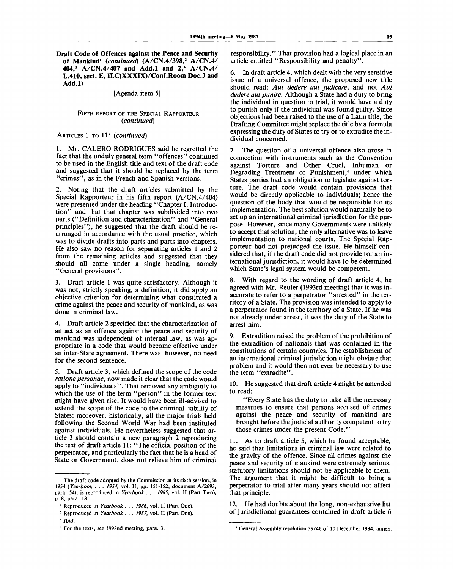**Draft Code of Offences against the Peace and Security of Mankind<sup>1</sup>**  *{continued)* **(A/CN.4/398,<sup>2</sup> A/CN.4/ 404,<sup>3</sup> A/CN.4/407 and Add.l and 2,<sup>4</sup> A/CN.4/** L.410, sect. E, ILC(XXXIX)/Conf.Room Doc.3 and **Add.l)**

## [Agenda item 5]

#### FIFTH REPORT OF THE SPECIAL RAPPORTEUR *{continued)*

ARTICLES 1 TO 11<sup>5</sup> (continued)

1. Mr. CALERO RODRIGUES said he regretted the fact that the unduly general term "offences" continued to be used in the English title and text of the draft code and suggested that it should be replaced by the term "crimes", as in the French and Spanish versions.

2. Noting that the draft articles submitted by the Special Rapporteur in his fifth report (A/CN.4/404) were presented under the heading "Chapter I. Introduction" and that that chapter was subdivided into two parts ("Definition and characterization" and "General principles"), he suggested that the draft should be rearranged in accordance with the usual practice, which was to divide drafts into parts and parts into chapters. He also saw no reason for separating articles 1 and 2 from the remaining articles and suggested that they should all come under a single heading, namely "General provisions".

3. Draft article 1 was quite satisfactory. Although it was not, strictly speaking, a definition, it did apply an objective criterion for determining what constituted a crime against the peace and security of mankind, as was done in criminal law.

4. Draft article 2 specified that the characterization of an act as an offence against the peace and security of mankind was independent of internal law, as was appropriate in a code that would become effective under an inter-State agreement. There was, however, no need for the second sentence.

5. Draft article 3, which defined the scope of the code *ratione personae,* now made it clear that the code would apply to "individuals". That removed any ambiguity to which the use of the term "person" in the former text might have given rise. It would have been ill-advised to extend the scope of the code to the criminal liability of States; moreover, historically, all the major trials held following the Second World War had been instituted against individuals. He nevertheless suggested that article 3 should contain a new paragraph 2 reproducing the text of draft article 11: "The official position of the perpetrator, and particularly the fact that he is a head of State or Government, does not relieve him of criminal responsibility." That provision had a logical place in an article entitled "Responsibility and penalty".

6. In draft article 4, which dealt with the very sensitive issue of a universal offence, the proposed new title should read: *Aut dedere aut judicare,* and not *Aut dedere aut punire.* Although a State had a duty to bring the individual in question to trial, it would have a duty to punish only if the individual was found guilty. Since objections had been raised to the use of a Latin title, the Drafting Committee might replace the title by a formula expressing the duty of States to try or to extradite the individual concerned.

7. The question of a universal offence also arose in connection with instruments such as the Convention against Torture and Other Cruel, Inhuman or Degrading Treatment or Punishment,<sup>6</sup> under which States parties had an obligation to legislate against torture. The draft code would contain provisions that would be directly applicable to individuals; hence the question of the body that would be responsible for its implementation. The best solution would naturally be to set up an international criminal jurisdiction for the purpose. However, since many Governments were unlikely to accept that solution, the only alternative was to leave implementation to national courts. The Special Rapporteur had not prejudged the issue. He himself considered that, if the draft code did not provide for an international jurisdiction, it would have to be determined which State's legal system would be competent.

8. With regard to the wording of draft article 4, he agreed with Mr. Reuter (1993rd meeting) that it was inaccurate to refer to a perpetrator "arrested" in the territory of a State. The provision was intended to apply to a perpetrator found in the territory of a State. If he was not already under arrest, it was the duty of the State to arrest him.

9. Extradition raised the problem of the prohibition of the extradition of nationals that was contained in the constitutions of certain countries. The establishment of an international criminal jurisdiction might obviate that problem and it would then not even be necessary to use the term "extradite".

10. He suggested that draft article 4 might be amended to read:

"Every State has the duty to take all the necessary measures to ensure that persons accused of crimes against the peace and security of mankind are brought before the judicial authority competent to try those crimes under the present Code."

11. As to draft article 5, which he found acceptable, he said that limitations in criminal law were related to the gravity of the offence. Since all crimes against the peace and security of mankind were extremely serious, statutory limitations should not be applicable to them. The argument that it might be difficult to bring a perpetrator to trial after many years should not affect that principle.

12. He had doubts about the long, non-exhaustive list of jurisdictional guarantees contained in draft article 6

<sup>1</sup> The draft code adopted by the Commission at its sixth session, in 1954 *(Yearbook . . . 1954,* vol. II, pp. 151-152, document A/2693, para. 54), is reproduced in *Yearbook . . . 1985,* vol. II (Part Two), p. 8, para. 18.

<sup>2</sup> Reproduced in *Yearbook . . . 1986,* vol. II (Part One).

<sup>3</sup> Reproduced in *Yearbook .* . . *1987,* vol. II (Part One).

<sup>4</sup>  *Ibid.*

<sup>5</sup> For the texts, see 1992nd meeting, para. 3.

<sup>6</sup> General Assembly resolution 39/46 of 10 December 1984, annex.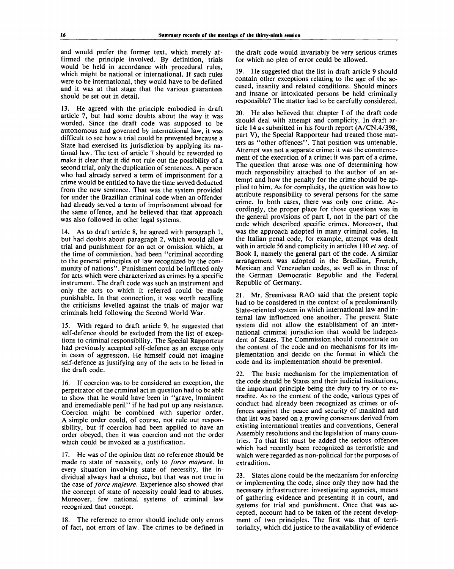and would prefer the former text, which merely affirmed the principle involved. By definition, trials would be held in accordance with procedural rules, which might be national or international. If such rules were to be international, they would have to be defined and it was at that stage that the various guarantees should be set out in detail.

13. He agreed with the principle embodied in draft article 7, but had some doubts about the way it was worded. Since the draft code was supposed to be autonomous and governed by international law, it was difficult to see how a trial could be prevented because a State had exercised its jurisdiction by applying its national law. The text of article 7 should be reworded to make it clear that it did not rule out the possibility of a second trial, only the duplication of sentences. A person who had already served a term of imprisonment for a crime would be entitled to have the time served deducted from the new sentence. That was the system provided for under the Brazilian criminal code when an offender had already served a term of imprisonment abroad for the same offence, and he believed that that approach was also followed in other legal systems.

14. As to draft article 8, he agreed with paragraph 1, but had doubts about paragraph 2, which would allow trial and punishment for an act or omission which, at the time of commission, had been "criminal according to the general principles of law recognized by the community of nations". Punishment could be inflicted only for acts which were characterized as crimes by a specific instrument. The draft code was such an instrument and only the acts to which it referred could be made punishable. In that connection, it was worth recalling the criticisms levelled against the trials of major war criminals held following the Second World War.

With regard to draft article 9, he suggested that self-defence should be excluded from the list of exceptions to criminal responsibility. The Special Rapporteur had previously accepted self-defence as an excuse only in cases of aggression. He himself could not imagine self-defence as justifying any of the acts to be listed in the draft code.

16. If coercion was to be considered an exception, the perpetrator of the criminal act in question had to be able to show that he would have been in "grave, imminent and irremediable peril" if he had put up any resistance. Coercion might be combined with superior order. A simple order could, of course, not rule out responsibility, but if coercion had been applied to have an order obeyed, then it was coercion and not the order which could be invoked as a justification.

17. He was of the opinion that no reference should be made to state of necessity, only to *force majeure.* In every situation involving state of necessity, the individual always had a choice, but that was not true in the case *of force majeure.* Experience also showed that the concept of state of necessity could lead to abuses. Moreover, few national systems of criminal law recognized that concept.

18. The reference to error should include only errors of fact, not errors of law. The crimes to be defined in the draft code would invariably be very serious crimes for which no plea of error could be allowed.

19. He suggested that the list in draft article 9 should contain other exceptions relating to the age of the accused, insanity and related conditions. Should minors and insane or intoxicated persons be held criminally responsible? The matter had to be carefully considered.

20. He also believed that chapter I of the draft code should deal with attempt and complicity. In draft article 14 as submitted in his fourth report (A/CN.4/398, part V), the Special Rapporteur had treated those matters as "other offences". That position was untenable. Attempt was not a separate crime: it was the commencement of the execution of a crime; it was part of a crime. The question that arose was one of determining how much responsibility attached to the author of an attempt and how the penalty for the crime should be applied to him. As for complicity, the question was how to attribute responsibility to several persons for the same crime. In both cases, there was only one crime. Accordingly, the proper place for those questions was in the general provisions of part I, not in the part of the code which described specific crimes. Moreover, that was the approach adopted in many criminal codes. In the Italian penal code, for example, attempt was dealt with in article 56 and complicity in articles 110 *et seq.* of Book I, namely the general part of the code. A similar arrangement was adopted in the Brazilian, French, Mexican and Venezuelan codes, as well as in those of the German Democratic Republic and the Federal Republic of Germany.

Mr. Sreenivasa RAO said that the present topic had to be considered in the context of a predominantly State-oriented system in which international law and internal law influenced one another. The present State system did not allow the establishment of an international criminal jurisdiction that would be independent of States. The Commission should concentrate on the content of the code and on mechanisms for its implementation and decide on the format in which the code and its implementation should be presented.

22. The basic mechanism for the implementation of the code should be States and their judicial institutions, the important principle being the duty to try or to extradite. As to the content of the code, various types of conduct had already been recognized as crimes or offences against the peace and security of mankind and that list was based on a growing consensus derived from existing international treaties and conventions, General Assembly resolutions and the legislation of many countries. To that list must be added the serious offences which had recently been recognized as terroristic and which were regarded as non-political for the purposes of extradition.

23. States alone could be the mechanism for enforcing or implementing the code, since only they now had the necessary infrastructure: investigating agencies, means of gathering evidence and presenting it in court, and systems for trial and punishment. Once that was accepted, account had to be taken of the recent development of two principles. The first was that of territoriality, which did justice to the availability of evidence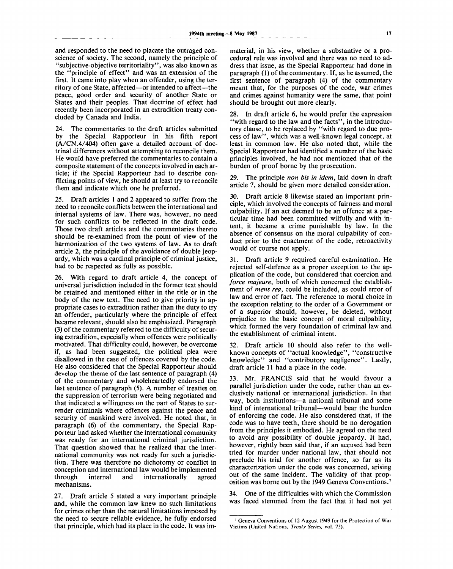and responded to the need to placate the outraged conscience of society. The second, namely the principle of "subjective-objective territoriality", was also known as the "principle of effect" and was an extension of the first. It came into play when an offender, using the territory of one State, affected—or intended to affect—the peace, good order and security of another State or States and their peoples. That doctrine of effect had recently been incorporated in an extradition treaty concluded by Canada and India.

24. The commentaries to the draft articles submitted by the Special Rapporteur in his fifth report (A/CN. 4/404) often gave a detailed account of doctrinal differences without attempting to reconcile them. He would have preferred the commentaries to contain a composite statement of the concepts involved in each article; if the Special Rapporteur had to describe conflicting points of view, he should at least try to reconcile them and indicate which one he preferred.

25. Draft articles 1 and 2 appeared to suffer from the need to reconcile conflicts between the international and internal systems of law. There was, however, no need for such conflicts to be reflected in the draft code. Those two draft articles and the commentaries thereto should be re-examined from the point of view of the harmonization of the two systems of law. As to draft article 2, the principle of the avoidance of double jeopardy, which was a cardinal principle of criminal justice, had to be respected as fully as possible.

26. With regard to draft article 4, the concept of universal jurisdiction included in the former text should be retained and mentioned either in the title or in the body of the new text. The need to give priority in appropriate cases to extradition rather than the duty to try an offender, particularly where the principle of effect became relevant, should also be emphasized. Paragraph (3) of the commentary referred to the difficulty of securing extradition, especially when offences were politically motivated. That difficulty could, however, be overcome if, as had been suggested, the political plea were disallowed in the case of offences covered by the code. He also considered that the Special Rapporteur should develop the theme of the last sentence of paragraph (4) of the commentary and wholeheartedly endorsed the last sentence of paragraph (5). A number of treaties on the suppression of terrorism were being negotiated and that indicated a willingness on the part of States to surrender criminals where offences against the peace and security of mankind were involved. He noted that, in paragraph (6) of the commentary, the Special Rapporteur had asked whether the international community was ready for an international criminal jurisdiction. That question showed that he realized that the international community was not ready for such a jurisdiction. There was therefore no dichotomy or conflict in conception and international law would be implemented through internal and internationally agreed mechanisms.

27. Draft article 5 stated a very important principle and, while the common law knew no such limitations for crimes other than the natural limitations imposed by the need to secure reliable evidence, he fully endorsed that principle, which had its place in the code. It was immaterial, in his view, whether a substantive or a procedural rule was involved and there was no need to address that issue, as the Special Rapporteur had done in paragraph (1) of the commentary. If, as he assumed, the first sentence of paragraph (4) of the commentary meant that, for the purposes of the code, war crimes and crimes against humanity were the same, that point should be brought out more clearly.

28. In draft article 6, he would prefer the expression "with regard to the law and the facts", in the introductory clause, to be replaced by "with regard to due process of law", which was a well-known legal concept, at least in common law. He also noted that, while the Special Rapporteur had identified a number of the basic principles involved, he had not mentioned that of the burden of proof borne by the prosecution.

29. The principle *non bis in idem,* laid down in draft article 7, should be given more detailed consideration.

30. Draft article 8 likewise stated an important principle, which involved the concepts of fairness and moral culpability. If an act deemed to be an offence at a particular time had been committed wilfully and with intent, it became a crime punishable by law. In the absence of consensus on the moral culpability of conduct prior to the enactment of the code, retroactivity would of course not apply.

31. Draft article 9 required careful examination. He rejected self-defence as a proper exception to the application of the code, but considered that coercion and *force majeure,* both of which concerned the establishment of *mens rea,* could be included, as could error of law and error of fact. The reference to moral choice in the exception relating to the order of a Government or of a superior should, however, be deleted, without prejudice to the basic concept of moral culpability, which formed the very foundation of criminal law and the establishment of criminal intent.

32. Draft article 10 should also refer to the wellknown concepts of "actual knowledge", "constructive knowledge" and "contributory negligence". Lastly, draft article 11 had a place in the code.

33. Mr. FRANCIS said that he would favour a parallel jurisdiction under the code, rather than an exclusively national or international jurisdiction. In that way, both institutions—a national tribunal and some kind of international tribunal—would bear the burden of enforcing the code. He also considered that, if the code was to have teeth, there should be no derogation from the principles it embodied. He agreed on the need to avoid any possibility of double jeopardy. It had, however, rightly been said that, if an accused had been tried for murder under national law, that should not preclude his trial for another offence, so far as its characterization under the code was concerned, arising out of the same incident. The validity of that proposition was borne out by the 1949 Geneva Conventions.<sup>7</sup>

34. One of the difficulties with which the Commission was faced stemmed from the fact that it had not yet

<sup>7</sup> Geneva Conventions of 12 August 1949 for the Protection of War Victims (United Nations, *Treaty Series,* vol. 75).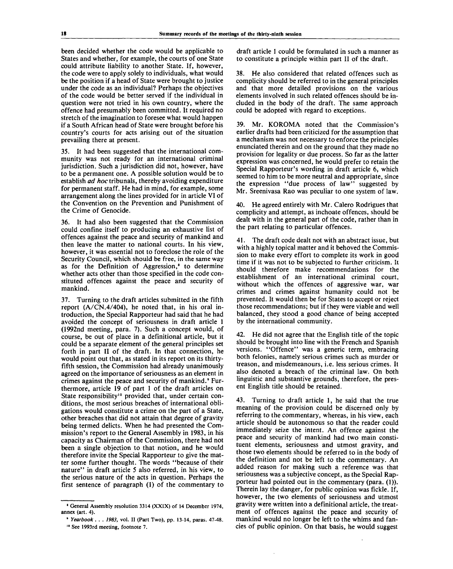been decided whether the code would be applicable to States and whether, for example, the courts of one State could attribute liability to another State. If, however, the code were to apply solely to individuals, what would be the position if a head of State were brought to justice under the code as an individual? Perhaps the objectives of the code would be better served if the individual in question were not tried in his own country, where the offence had presumably been committed. It required no stretch of the imagination to foresee what would happen if a South African head of State were brought before his country's courts for acts arising out of the situation prevailing there at present.

35. It had been suggested that the international community was not ready for an international criminal jurisdiction. Such a jurisdiction did not, however, have to be a permanent one. A possible solution would be to establish *ad hoc* tribunals, thereby avoiding expenditure for permanent staff. He had in mind, for example, some arrangement along the lines provided for in article VI of the Convention on the Prevention and Punishment of the Crime of Genocide.

36. It had also been suggested that the Commission could confine itself to producing an exhaustive list of offences against the peace and security of mankind and then leave the matter to national courts. In his view, however, it was essential not to foreclose the role of the Security Council, which should be free, in the same way as for the Definition of Aggression,<sup>®</sup> to determine whether acts other than those specified in the code constituted offences against the peace and security of mankind.

37. Turning to the draft articles submitted in the fifth report (A/CN.4/404), he noted that, in his oral introduction, the Special Rapporteur had said that he had avoided the concept of seriousness in draft article 1 (1992nd meeting, para. 7). Such a concept would, of course, be out of place in a definitional article, but it could be a separate element of the general principles set forth in part II of the draft. In that connection, he would point out that, as stated in its report on its thirtyfifth session, the Commission had already unanimously agreed on the importance of seriousness as an element in extends against the peace and security of mankind.<sup>9</sup> Furthermore, article 19 of part 1 of the draft articles on State responsibility<sup>10</sup> provided that, under certain conditions, the most serious breaches of international obligations would constitute a crime on the part of a State, other breaches that did not attain that degree of gravity being termed delicts. When he had presented the Commission's report to the General Assembly in 1983, in his capacity as Chairman of the Commission, there had not been a single objection to that notion, and he would therefore invite the Special Rapporteur to give the matter some further thought. The words "because of their nature" in draft article 5 also referred, in his view, to the serious nature of the acts in question. Perhaps the first sentence of paragraph (1) of the commentary to draft article 1 could be formulated in such a manner as to constitute a principle within part II of the draft.

38. He also considered that related offences such as complicity should be referred to in the general principles and that more detailed provisions on the various elements involved in such related offences should be included in the body of the draft. The same approach could be adopted with regard to exceptions.

39. Mr. KOROMA noted that the Commission's earlier drafts had been criticized for the assumption that a mechanism was not necessary to enforce the principles enunciated therein and on the ground that they made no provision for legality or due process. So far as the latter expression was concerned, he would prefer to retain the Special Rapporteur's wording in draft article 6, which seemed to him to be more neutral and appropriate, since the expression "due process of law" suggested by Mr. Sreenivasa Rao was peculiar to one system of law.

He agreed entirely with Mr. Calero Rodrigues that complicity and attempt, as inchoate offences, should be dealt with in the general part of the code, rather than in the part relating to particular offences.

41. The draft code dealt not with an abstract issue, but with a highly topical matter and it behoved the Commission to make every effort to complete its work in good time if it was not to be subjected to further criticism. It should therefore make recommendations for the establishment of an international criminal court, without which the offences of aggressive war, war crimes and crimes against humanity could not be prevented. It would then be for States to accept or reject those recommendations; but if they were viable and well balanced, they stood a good chance of being accepted by the international community.

42. He did not agree that the English title of the topic should be brought into line with the French and Spanish versions. "Offence" was a generic term, embracing both felonies, namely serious crimes such as murder or treason, and misdemeanours, i.e. less serious crimes. It also denoted a breach of the criminal law. On both linguistic and substantive grounds, therefore, the present English title should be retained.

43. Turning to draft article 1, he said that the true meaning of the provision could be discerned only by referring to the commentary, whereas, in his view, each article should be autonomous so that the reader could immediately seize the intent. An offence against the peace and security of mankind had two main constituent elements, seriousness and utmost gravity, and those two elements should be referred to in the body of the definition and not be left to the commentary. An added reason for making such a reference was that seriousness was a subjective concept, as the Special Rapporteur had pointed out in the commentary (para. (1)). Therein lay the danger, for public opinion was fickle. If, however, the two elements of seriousness and utmost gravity were written into a definitional article, the treatment of offences against the peace and security of mankind would no longer be left to the whims and fancies of public opinion. On that basis, he would suggest

General Assembly resolution 3314 (XXIX) of 14 December 1974, annex (art. 4).

<sup>&#</sup>x27; *Yearbook . . . 1983,* vol. II (Part Two), pp. 13-14, paras. 47-48. 10 See 1993rd meeting, footnote 7.